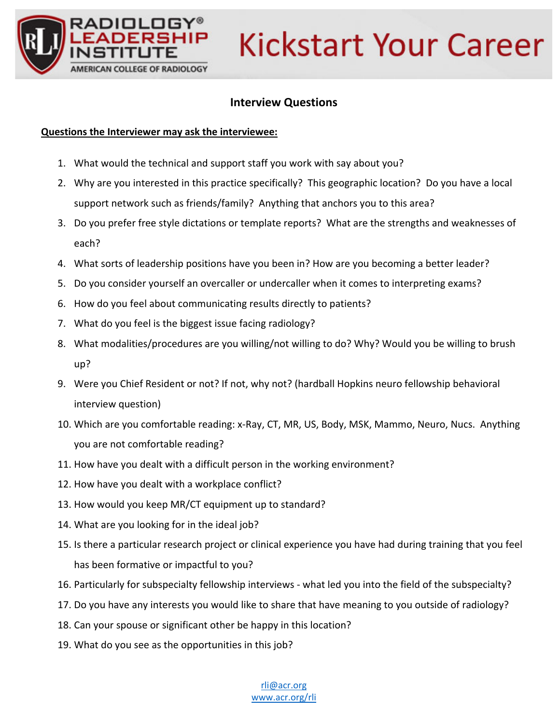

# **Kickstart Your Career**

## **Interview Questions**

### **Questions the Interviewer may ask the interviewee:**

- 1. What would the technical and support staff you work with say about you?
- 2. Why are you interested in this practice specifically? This geographic location? Do you have a local support network such as friends/family? Anything that anchors you to this area?
- 3. Do you prefer free style dictations or template reports? What are the strengths and weaknesses of each?
- 4. What sorts of leadership positions have you been in? How are you becoming a better leader?
- 5. Do you consider yourself an overcaller or undercaller when it comes to interpreting exams?
- 6. How do you feel about communicating results directly to patients?
- 7. What do you feel is the biggest issue facing radiology?
- 8. What modalities/procedures are you willing/not willing to do? Why? Would you be willing to brush up?
- 9. Were you Chief Resident or not? If not, why not? (hardball Hopkins neuro fellowship behavioral interview question)
- 10. Which are you comfortable reading: x‐Ray, CT, MR, US, Body, MSK, Mammo, Neuro, Nucs. Anything you are not comfortable reading?
- 11. How have you dealt with a difficult person in the working environment?
- 12. How have you dealt with a workplace conflict?
- 13. How would you keep MR/CT equipment up to standard?
- 14. What are you looking for in the ideal job?
- 15. Is there a particular research project or clinical experience you have had during training that you feel has been formative or impactful to you?
- 16. Particularly for subspecialty fellowship interviews ‐ what led you into the field of the subspecialty?
- 17. Do you have any interests you would like to share that have meaning to you outside of radiology?
- 18. Can your spouse or significant other be happy in this location?
- 19. What do you see as the opportunities in this job?

#### rli@acr.org www.acr.org/rli